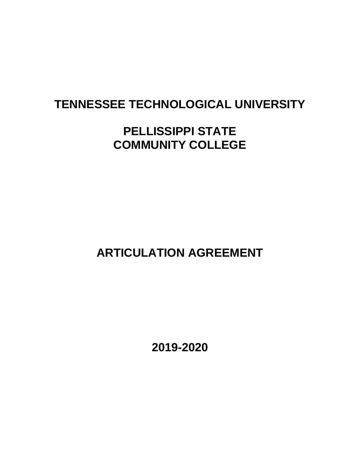# **TENNESSEE TECHNOLOGICAL UNIVERSITY**

# **PELLISSIPPI STATE COMMUNITY COLLEGE**

 **ARTICULATION AGREEMENT** 

 **2019-2020**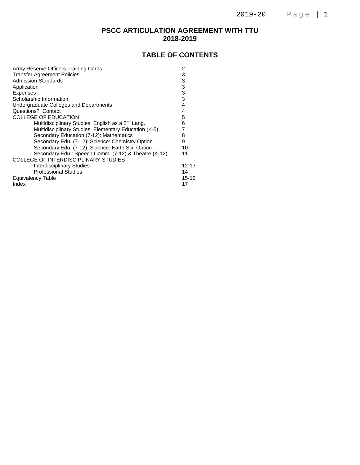### **PSCC ARTICULATION AGREEMENT WITH TTU 2018-2019**

### **TABLE OF CONTENTS**

| Army Reserve Officers Training Corps                          | 2         |
|---------------------------------------------------------------|-----------|
| <b>Transfer Agreement Policies</b>                            | 3         |
| <b>Admission Standards</b>                                    | 3         |
| Application                                                   | 3         |
| <b>Expenses</b>                                               | 3         |
| Scholarship Information                                       | 3         |
| Undergraduate Colleges and Departments                        | 4         |
| Questions? Contact                                            | 4         |
| <b>COLLEGE OF EDUCATION</b>                                   | 5         |
| Multidisciplinary Studies: English as a 2 <sup>nd</sup> Lang. | 6         |
| Multidisciplinary Studies: Elementary Education (K-5)         |           |
| Secondary Education (7-12): Mathematics                       | 8         |
| Secondary Edu. (7-12): Science: Chemistry Option              | 9         |
| Secondary Edu. (7-12): Science: Earth Sci. Option             | 10        |
| Secondary Edu.: Speech Comm. (7-12) & Theatre (K-12)          | 11        |
| COLLEGE OF INTERDISCIPLINARY STUDIES                          |           |
| <b>Interdisciplinary Studies</b>                              | 12-13     |
| <b>Professional Studies</b>                                   | 14        |
| Equivalency Table                                             | $15 - 16$ |
| Index                                                         | 17        |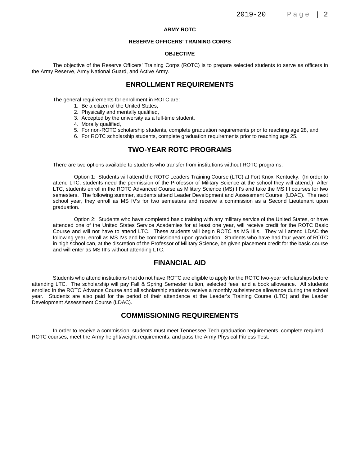#### **ARMY ROTC**

#### **RESERVE OFFICERS' TRAINING CORPS**

#### **OBJECTIVE**

The objective of the Reserve Officers' Training Corps (ROTC) is to prepare selected students to serve as officers in the Army Reserve, Army National Guard, and Active Army.

### **ENROLLMENT REQUIREMENTS**

The general requirements for enrollment in ROTC are:

- 1. Be a citizen of the United States,
- 2. Physically and mentally qualified,
- 3. Accepted by the university as a full-time student,
- 4. Morally qualified,
- 5. For non-ROTC scholarship students, complete graduation requirements prior to reaching age 28, and
- 6. For ROTC scholarship students, complete graduation requirements prior to reaching age 25.

### **TWO-YEAR ROTC PROGRAMS**

There are two options available to students who transfer from institutions without ROTC programs:

Option 1: Students will attend the ROTC Leaders Training Course (LTC) at Fort Knox, Kentucky. (In order to attend LTC, students need the permission of the Professor of Military Science at the school they will attend.) After LTC, students enroll in the ROTC Advanced Course as Military Science (MS) III's and take the MS III courses for two semesters. The following summer, students attend Leader Development and Assessment Course (LDAC). The next school year, they enroll as MS IV's for two semesters and receive a commission as a Second Lieutenant upon graduation.

Option 2: Students who have completed basic training with any military service of the United States, or have attended one of the United States Service Academies for at least one year, will receive credit for the ROTC Basic Course and will not have to attend LTC. These students will begin ROTC as MS III's. They will attend LDAC the following year, enroll as MS IVs and be commissioned upon graduation. Students who have had four years of ROTC in high school can, at the discretion of the Professor of Military Science, be given placement credit for the basic course and will enter as MS III's without attending LTC.

### **FINANCIAL AID**

Students who attend institutions that do not have ROTC are eligible to apply for the ROTC two-year scholarships before attending LTC. The scholarship will pay Fall & Spring Semester tuition, selected fees, and a book allowance. All students enrolled in the ROTC Advance Course and all scholarship students receive a monthly subsistence allowance during the school year. Students are also paid for the period of their attendance at the Leader's Training Course (LTC) and the Leader Development Assessment Course (LDAC).

#### **COMMISSIONING REQUIREMENTS**

In order to receive a commission, students must meet Tennessee Tech graduation requirements, complete required ROTC courses, meet the Army height/weight requirements, and pass the Army Physical Fitness Test.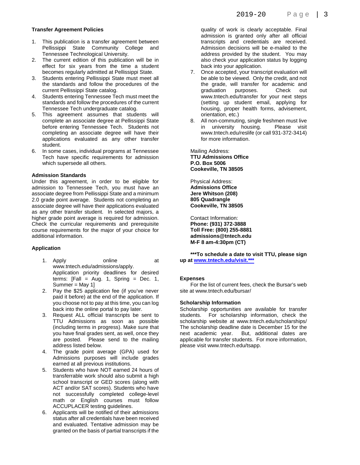#### **Transfer Agreement Policies**

- 1. This publication is a transfer agreement between Pellissippi State Community College and Tennessee Technological University.
- 2. The current edition of this publication will be in effect for six years from the time a student becomes regularly admitted at Pellissippi State.
- 3. Students entering Pellissippi State must meet all the standards and follow the procedures of the current Pellissippi State catalog.
- 4. Students entering Tennessee Tech must meet the standards and follow the procedures of the current Tennessee Tech undergraduate catalog.
- 5. This agreement assumes that students will complete an associate degree at Pellissippi State before entering Tennessee Tech. Students not completing an associate degree will have their applications evaluated as any other transfer student.
- 6. In some cases, individual programs at Tennessee Tech have specific requirements for admission which supersede all others.

#### **Admission Standards**

Under this agreement, in order to be eligible for admission to Tennessee Tech, you must have an associate degree from Pellissippi State and a minimum 2.0 grade point average. Students not completing an associate degree will have their applications evaluated as any other transfer student. In selected majors, a higher grade point average is required for admission. Check the curricular requirements and prerequisite course requirements for the major of your choice for additional information.

#### **Application**

- 1. Apply online at www.tntech.edu/admissions/apply. Application priority deadlines for desired terms:  $[Fall = Aug. 1, Spring = Dec. 1, ]$ Summer = May 1]
- 2. Pay the \$25 application fee (if you've never paid it before) at the end of the application. If you choose not to pay at this time, you can log back into the online portal to pay later.
- 3. Request ALL official transcripts be sent to TTU Admissions as soon as possible (including terms in progress). Make sure that you have final grades sent, as well, once they are posted. Please send to the mailing address listed below.
- 4. The grade point average (GPA) used for Admissions purposes will include grades earned at all previous institutions.
- 5. Students who have NOT earned 24 hours of transferrable work should also submit a high school transcript or GED scores (along with ACT and/or SAT scores). Students who have not successfully completed college-level math or English courses must follow ACCUPLACER testing guidelines.
- 6. Applicants will be notified of their admissions status after all credentials have been received and evaluated. Tentative admission may be granted on the basis of partial transcripts if the

quality of work is clearly acceptable. Final admission is granted only after all official transcripts and credentials are received. Admission decisions will be e-mailed to the address provided by the student. You may also check your application status by logging back into your application.

- 7. Once accepted, your transcript evaluation will be able to be viewed. Only the credit, and not the grade, will transfer for academic and graduation purposes. Check out www.tntech.edu/transfer for your next steps (setting up student email, applying for housing, proper health forms, advisement, orientation, etc.)
- 8. All non-commuting, single freshmen must live in university housing. Please visit www.tntech.edu/reslife (or call 931-372-3414) for more information.

Mailing Address: **TTU Admissions Office P.O. Box 5006 Cookeville, TN 38505** 

Physical Address: **Admissions Office Jere Whitson (208) 805 Quadrangle Cookeville, TN 38505** 

Contact Information: **Phone: (931) 372-3888 Toll Free: (800) 255-8881 admissions@tntech.edu M-F 8 am-4:30pm (CT)** 

**\*\*\*To schedule a date to visit TTU, please sign up at www.tntech.edu/visit.\*\*\***

#### **Expenses**

 For the list of current fees, check the Bursar's web site at www.tntech.edu/bursar/

#### **Scholarship Information**

Scholarship opportunities are available for transfer students. For scholarship information, check the scholarship website at www.tntech.edu/scholarships/ The scholarship deadline date is December 15 for the next academic year. But, additional dates are applicable for transfer students. For more information, please visit www.tntech.edu/tsapp.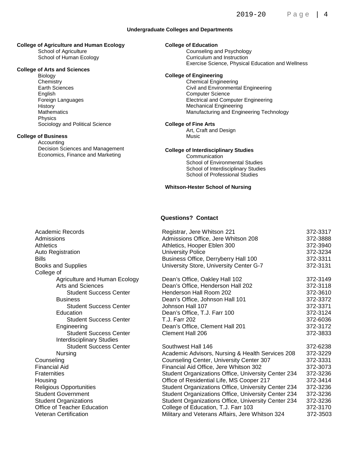#### **Undergraduate Colleges and Departments**

### **College of Agriculture and Human Ecology**

 School of Agriculture School of Human Ecology

### **PERLIS College of Arts and Sciences**<br>Priclegy of Arts and Sciences **College** of

 Biology **Chemistry** Earth Sciences English Foreign Languages **History Mathematics**  Physics Sociology and Political Science

#### **College of Business**

 Accounting Decision Sciences and Management Economics, Finance and Marketing

#### **College of Education**

**Counseling and Psychology**<br>
Counseling and Instruction **Exercise Science, Physical Education and Wellness** Curriculum and Instruction

#### **College of Engineering**

Chemical Engineering Civil and Environmental Engineering Computer Science Electrical and Computer Engineering Mechanical Engineering Manufacturing and Engineering Technology

#### **College of Fine Arts**

Art, Craft and Design Music

#### **College of Interdisciplinary Studies**

**Communication** School of Environmental Studies School of Interdisciplinary Studies School of Professional Studies

#### **Whitson-Hester School of Nursing**

#### **Questions? Contact**

| Academic Records                 | Registrar, Jere Whitson 221                                | 372-3317 |
|----------------------------------|------------------------------------------------------------|----------|
| Admissions                       | Admissions Office, Jere Whitson 208                        | 372-3888 |
| <b>Athletics</b>                 | Athletics, Hooper Eblen 300                                | 372-3940 |
| <b>Auto Registration</b>         | <b>University Police</b>                                   | 372-3234 |
| <b>Bills</b>                     | Business Office, Derryberry Hall 100                       | 372-3311 |
| <b>Books and Supplies</b>        | University Store, University Center G-7                    | 372-3131 |
| College of                       |                                                            |          |
| Agriculture and Human Ecology    | Dean's Office, Oakley Hall 102                             | 372-3149 |
| Arts and Sciences                | Dean's Office, Henderson Hall 202                          | 372-3118 |
| <b>Student Success Center</b>    | Henderson Hall Room 202                                    | 372-3610 |
| <b>Business</b>                  | Dean's Office, Johnson Hall 101                            | 372-3372 |
| <b>Student Success Center</b>    | Johnson Hall 107                                           | 372-3371 |
| Education                        | Dean's Office, T.J. Farr 100                               | 372-3124 |
| <b>Student Success Center</b>    | <b>T.J. Farr 202</b>                                       | 372-6036 |
| Engineering                      | Dean's Office, Clement Hall 201                            | 372-3172 |
| <b>Student Success Center</b>    | <b>Clement Hall 206</b>                                    | 372-3833 |
| <b>Interdisciplinary Studies</b> |                                                            |          |
| <b>Student Success Center</b>    | Southwest Hall 146                                         | 372-6238 |
| Nursing                          | Academic Advisors, Nursing & Health Services 208           | 372-3229 |
| Counseling                       | Counseling Center, University Center 307                   | 372-3331 |
| <b>Financial Aid</b>             | Financial Aid Office, Jere Whitson 302                     | 372-3073 |
| <b>Fraternities</b>              | <b>Student Organizations Office, University Center 234</b> | 372-3236 |
| Housing                          | Office of Residential Life, MS Cooper 217                  | 372-3414 |
| <b>Religious Opportunities</b>   | Student Organizations Office, University Center 234        | 372-3236 |
| <b>Student Government</b>        | <b>Student Organizations Office, University Center 234</b> | 372-3236 |
| <b>Student Organizations</b>     | Student Organizations Office, University Center 234        | 372-3236 |
| Office of Teacher Education      | College of Education, T.J. Farr 103                        | 372-3170 |
| <b>Veteran Certification</b>     | Military and Veterans Affairs, Jere Whitson 324            | 372-3503 |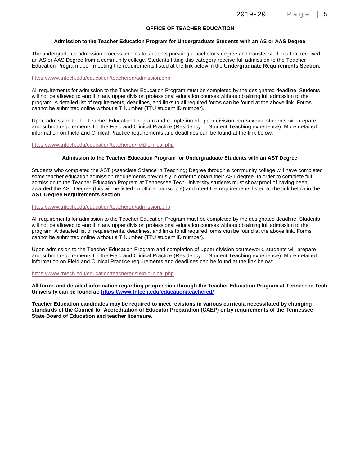#### **OFFICE OF TEACHER EDUCATION**

#### **Admission to the Teacher Education Program for Undergraduate Students with an AS or AAS Degree**

The undergraduate admission process applies to students pursuing a bachelor's degree and transfer students that received an AS or AAS Degree from a community college. Students fitting this category receive full admission to the Teacher Education Program upon meeting the requirements listed at the link below in the **Undergraduate Requirements Section**:

#### https://www.tntech.edu/education/teachered/admission.php

All requirements for admission to the Teacher Education Program must be completed by the designated deadline. Students will not be allowed to enroll in any upper division professional education courses without obtaining full admission to the program. A detailed list of requirements, deadlines, and links to all required forms can be found at the above link. Forms cannot be submitted online without a T Number (TTU student ID number).

Upon admission to the Teacher Education Program and completion of upper division coursework, students will prepare and submit requirements for the Field and Clinical Practice (Residency or Student Teaching experience). More detailed information on Field and Clinical Practice requirements and deadlines can be found at the link below:

https://www.tntech.edu/education/teachered/field-clinical.php

#### **Admission to the Teacher Education Program for Undergraduate Students with an AST Degree**

Students who completed the AST (Associate Science in Teaching) Degree through a community college will have completed some teacher education admission requirements previously in order to obtain their AST degree. In order to complete full admission to the Teacher Education Program at Tennessee Tech University students must show proof of having been awarded the AST Degree (this will be listed on official transcripts) and meet the requirements listed at the link below in the **AST Degree Requirements section**:

#### https://www.tntech.edu/education/teachered/admission.php

All requirements for admission to the Teacher Education Program must be completed by the designated deadline. Students will not be allowed to enroll in any upper division professional education courses without obtaining full admission to the program. A detailed list of requirements, deadlines, and links to all required forms can be found at the above link. Forms cannot be submitted online without a T Number (TTU student ID number).

Upon admission to the Teacher Education Program and completion of upper division coursework, students will prepare and submit requirements for the Field and Clinical Practice (Residency or Student Teaching experience). More detailed information on Field and Clinical Practice requirements and deadlines can be found at the link below:

#### https://www.tntech.edu/education/teachered/field-clinical.php

**All forms and detailed information regarding progression through the Teacher Education Program at Tennessee Tech University can be found at: https://www.tntech.edu/education/teachered/** 

**Teacher Education candidates may be required to meet revisions in various curricula necessitated by changing standards of the Council for Accreditation of Educator Preparation (CAEP) or by requirements of the Tennessee State Board of Education and teacher licensure.**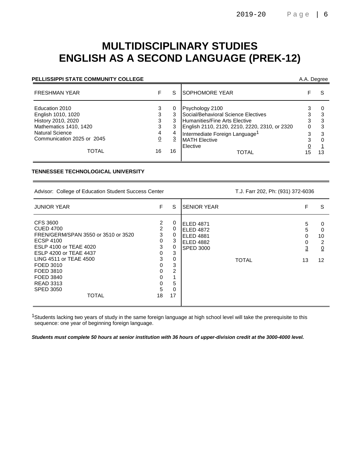# **MULTIDISCIPLINARY STUDIES ENGLISH AS A SECOND LANGUAGE (PREK-12)**

#### **PELLISSIPPI STATE COMMUNITY COLLEGE A.A. Degree** A.A. Degree

| <b>FRESHMAN YEAR</b>                                                                                                                                  |                                         | S       | <b>SOPHOMORE YEAR</b>                                                                                                                                                                                                                      |                   |                   |
|-------------------------------------------------------------------------------------------------------------------------------------------------------|-----------------------------------------|---------|--------------------------------------------------------------------------------------------------------------------------------------------------------------------------------------------------------------------------------------------|-------------------|-------------------|
| Education 2010<br>English 1010, 1020<br>History 2010, 2020<br>Mathematics 1410, 1420<br><b>Natural Science</b><br>Communication 2025 or 2045<br>TOTAL | 3<br>3<br>3<br>3<br>4<br><u>0</u><br>16 | 3<br>16 | Psychology 2100<br>Social/Behavioral Science Electives<br><b>Humanities/Fine Arts Elective</b><br>English 2110, 2120, 2210, 2220, 2310, or 2320<br>Intermediate Foreign Language <sup>1</sup><br><b>MATH Elective</b><br>Elective<br>TOTAL | 3<br>0<br>3<br>15 | З<br>3<br>3<br>13 |
|                                                                                                                                                       |                                         |         |                                                                                                                                                                                                                                            |                   |                   |

#### **TENNESSEE TECHNOLOGICAL UNIVERSITY**

Advisor: College of Education Student Success Center T.J. Farr 202, Ph: (931) 372-6036

| <b>JUNIOR YEAR</b>                                                                                                                                                                                                                                                          | F.                                                             | S                                                         | <b>SENIOR YEAR</b>                                                                   | F                 | S                                                |
|-----------------------------------------------------------------------------------------------------------------------------------------------------------------------------------------------------------------------------------------------------------------------------|----------------------------------------------------------------|-----------------------------------------------------------|--------------------------------------------------------------------------------------|-------------------|--------------------------------------------------|
| CFS 3600<br><b>CUED 4700</b><br>FREN/GERM/SPAN 3550 or 3510 or 3520<br><b>ECSP 4100</b><br>ESLP 4100 or TEAE 4020<br><b>ESLP 4200 or TEAE 4437</b><br>LING 4511 or TEAE 4500<br>FOED 3010<br>FOED 3810<br>FOED 3840<br><b>READ 3313</b><br><b>SPED 3050</b><br><b>TOTAL</b> | 2<br>2<br>3<br>0<br>3<br>0<br>3<br>0<br>0<br>0<br>0<br>5<br>18 | 0<br>0<br>0<br>3<br>0<br>3<br>0<br>3<br>2<br>5<br>0<br>17 | ELED 4871<br>ELED 4872<br>ELED 4881<br>ELED 4882<br><b>SPED 3000</b><br><b>TOTAL</b> | 5<br>5<br>3<br>13 | 0<br>$\Omega$<br>10<br>2<br>$\overline{0}$<br>12 |

<sup>1</sup>Students lacking two years of study in the same foreign language at high school level will take the prerequisite to this sequence: one year of beginning foreign language.

**Students must complete 50 hours at senior institution with 36 hours of upper-division credit at the 3000-4000 level.**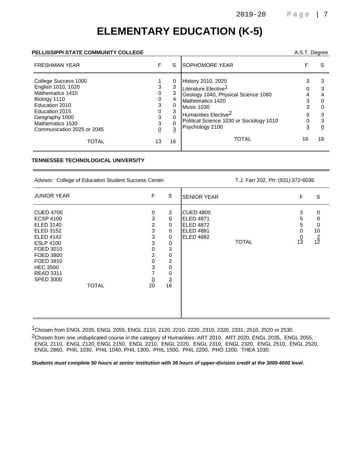# **ELEMENTARY EDUCATION (K-5)**

#### **PELLISSIPPI STATE COMMUNITY COLLEGE** A.S.T. Degree

| <b>FRESHMAN YEAR</b>                                                                                                                                                                   | F                | S                     | <b>SOPHOMORE YEAR</b>                                                                                                                                                                                                                     |    | S  |
|----------------------------------------------------------------------------------------------------------------------------------------------------------------------------------------|------------------|-----------------------|-------------------------------------------------------------------------------------------------------------------------------------------------------------------------------------------------------------------------------------------|----|----|
| College Success 1000<br>English 1010, 1020<br>Mathematics 1410<br>Biology 1110<br>Education 2010<br>Education 2015<br>Geography 1000<br>Mathematics 1530<br>Communication 2025 or 2045 | 3<br>0<br>3<br>3 | 0<br>3<br>4<br>3<br>3 | History 2010, 2020<br>Literature Elective <sup>1</sup><br>Geology 1040, Physical Science 1060<br>Mathematics 1420<br><b>Music 1030</b><br>Humanities Elective <sup>2</sup><br>Political Science 1030 or Sociology 1010<br>Psychology 2100 |    | 3  |
| TOTAL                                                                                                                                                                                  | 13               | 16                    | <b>TOTAL</b>                                                                                                                                                                                                                              | 16 | 16 |

#### **TENNESSEE TECHNOLOGICAL UNIVERSITY**

Advisor: College of Education Student Success Center T.J. Farr 202, Ph: (931) 372-6036

| <b>JUNIOR YEAR</b>                                                                                                                                                                                                                     | $\mathsf F$                                                                                           | S                                                                                                                                                                              | <b>SENIOR YEAR</b>                                                                                        | F                                  | S                                   |
|----------------------------------------------------------------------------------------------------------------------------------------------------------------------------------------------------------------------------------------|-------------------------------------------------------------------------------------------------------|--------------------------------------------------------------------------------------------------------------------------------------------------------------------------------|-----------------------------------------------------------------------------------------------------------|------------------------------------|-------------------------------------|
| <b>CUED 4700</b><br><b>ECSP 4100</b><br><b>ELED 3140</b><br><b>ELED 3152</b><br><b>ELED 4142</b><br><b>ESLP 4100</b><br>FOED 3010<br>FOED 3800<br>FOED 3810<br><b>HEC 3500</b><br><b>READ 3311</b><br><b>SPED 3000</b><br><b>TOTAL</b> | $\mathbf 0$<br>3<br>2<br>$\sqrt{3}$<br>3<br>3<br>0<br>$\overline{c}$<br>0<br>3<br>7<br>$\frac{0}{20}$ | $\overline{2}$<br>$\mathbf 0$<br>$\mathbf 0$<br>$\mathbf 0$<br>$\mathbf 0$<br>0<br>$\mathbf{3}$<br>$\pmb{0}$<br>$\overline{c}$<br>$\mathbf 0$<br>$\mathbf 0$<br>$\frac{3}{16}$ | <b>CUED 4800</b><br><b>ELED 4871</b><br><b>ELED 4872</b><br><b>ELED 4881</b><br>ELED 4882<br><b>TOTAL</b> | 3<br>5<br>5<br>0<br>$\frac{0}{13}$ | 0<br>0<br>0<br>10<br>$\frac{2}{12}$ |

1Chosen from ENGL 2035, ENGL 2055, ENGL 2110, 2120, 2210, 2220, 2310, 2320, 2331, 2510, 2520 or 2530.

2Chosen from one unduplicated course in the category of Humanities: ART 2010, ART 2020, ENGL 2035, ENGL 2055, ENGL 2110, ENGL 2120, ENGL 2150, ENGL 2210, ENGL 2220, ENGL 2310, ENGL 2320, ENGL 2510, ENGL 2520, ENGL 2860, PHIL 1030, PHIL 1040, PHIL 1300, PHIL 1500, PHIL 2200, PHO 1200, THEA 1030.

**Students must complete 50 hours at senior institution with 36 hours of upper-division credit at the 3000-4000 level.**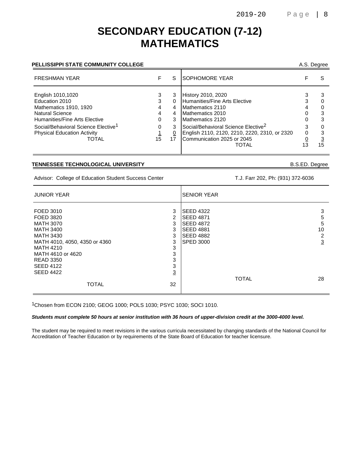### **SECONDARY EDUCATION (7-12) MATHEMATICS**

### PELLISSIPPI STATE COMMUNITY COLLEGE **A.S. Degree** A.S. Degree

| <b>ISOPHOMORE YEAR</b>                                                                                                                                                                                                                                            |    |
|-------------------------------------------------------------------------------------------------------------------------------------------------------------------------------------------------------------------------------------------------------------------|----|
| History 2010, 2020<br>Humanities/Fine Arts Elective<br>Mathematics 2110<br>Mathematics 2010<br>Mathematics 2120<br>Social/Behavioral Science Elective <sup>2</sup><br>English 2110, 2120, 2210, 2220, 2310, or 2320<br>Communication 2025 or 2045<br><b>TOTAL</b> | 15 |
|                                                                                                                                                                                                                                                                   |    |

#### **TENNESSEE TECHNOLOGICAL UNIVERSITY** B.S.ED. Degree

Advisor: College of Education Student Success Center T.J. Farr 202, Ph: (931) 372-6036

| <b>JUNIOR YEAR</b>                                                                                                                      |                                     | <b>SENIOR YEAR</b>                                                                                                    |                                          |
|-----------------------------------------------------------------------------------------------------------------------------------------|-------------------------------------|-----------------------------------------------------------------------------------------------------------------------|------------------------------------------|
| FOED 3010<br>FOED 3820<br><b>MATH 3070</b><br><b>MATH 3400</b><br><b>MATH 3430</b><br>MATH 4010, 4050, 4350 or 4360<br><b>MATH 4210</b> | 3<br>2<br>3<br>3<br>3<br>3<br>3     | <b>SEED 4322</b><br><b>ISEED 4871</b><br><b>SEED 4872</b><br><b>SEED 4881</b><br><b>SEED 4882</b><br><b>SPED 3000</b> | 3<br>5<br>5<br>10<br>2<br>$\overline{3}$ |
| MATH 4610 or 4620<br><b>READ 3350</b><br><b>SEED 4122</b><br><b>SEED 4422</b><br><b>TOTAL</b>                                           | 3<br>3<br>3<br>$\overline{3}$<br>32 | <b>TOTAL</b>                                                                                                          | 28                                       |

1Chosen from ECON 2100; GEOG 1000; POLS 1030; PSYC 1030; SOCI 1010.

#### **Students must complete 50 hours at senior institution with 36 hours of upper-division credit at the 3000-4000 level.**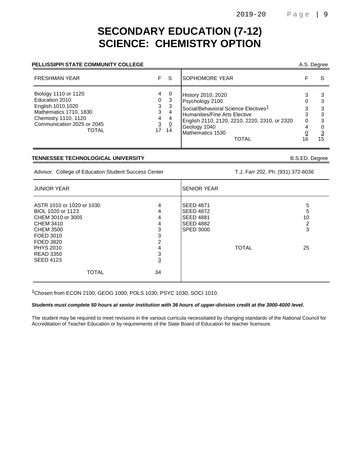### **SECONDARY EDUCATION (7-12) SCIENCE: CHEMISTRY OPTION**

#### **PELLISSIPPI STATE COMMUNITY COLLEGE**

| A.S. Degree |  |
|-------------|--|
|-------------|--|

| <b>FRESHMAN YEAR</b>                                                                                                                                        |                                                          | -S                                   | <b>SOPHOMORE YEAR</b>                                                                                                                                                                                                    |   |    |
|-------------------------------------------------------------------------------------------------------------------------------------------------------------|----------------------------------------------------------|--------------------------------------|--------------------------------------------------------------------------------------------------------------------------------------------------------------------------------------------------------------------------|---|----|
| Biology 1110 or 1120<br>Education 2010<br>English 1010,1020<br>Mathematics 1710, 1830<br>Chemistry 1110, 1120<br>Communication 2025 or 2045<br><b>TOTAL</b> | 4<br>0<br>3<br>3<br>4<br>$\overline{3}$<br>$17 \quad 14$ | - 0<br>3<br>-3<br>4<br>4<br><u>0</u> | History 2010, 2020<br>Psychology 2100<br>Social/Behavioral Science Electives <sup>1</sup><br>Humanities/Fine Arts Elective<br>English 2110, 2120, 2210, 2220, 2310, or 2320<br>Geology 1040<br>Mathematics 1530<br>TOTAL | 0 | 15 |

#### **TENNESSEE TECHNOLOGICAL UNIVERSITY** B.S.ED. Degree

Advisor: College of Education Student Success Center T.J. Farr 202, Ph: (931) 372-6036

| <b>JUNIOR YEAR</b>                                                                                                       |                                     | ISENIOR YEAR                                                                                     |              |                        |
|--------------------------------------------------------------------------------------------------------------------------|-------------------------------------|--------------------------------------------------------------------------------------------------|--------------|------------------------|
| ASTR 1010 or 1020 or 1030<br>BIOL 1020 or 1123<br>CHEM 3010 or 3005<br><b>CHEM 3410</b><br><b>CHEM 3500</b><br>FOED 3010 | 4<br>4<br>4<br>4<br>3<br>3          | <b>SEED 4871</b><br><b>SEED 4872</b><br><b>SEED 4881</b><br><b>SEED 4882</b><br><b>SPED 3000</b> |              | 5<br>5<br>10<br>2<br>3 |
| FOED 3820<br><b>PHYS 2010</b><br><b>READ 3350</b><br><b>SEED 4123</b><br><b>TOTAL</b>                                    | 2<br>4<br>3<br>$\overline{3}$<br>34 |                                                                                                  | <b>TOTAL</b> | 25                     |

1Chosen from ECON 2100; GEOG 1000; POLS 1030; PSYC 1030; SOCI 1010.

#### **Students must complete 50 hours at senior institution with 36 hours of upper-division credit at the 3000-4000 level.**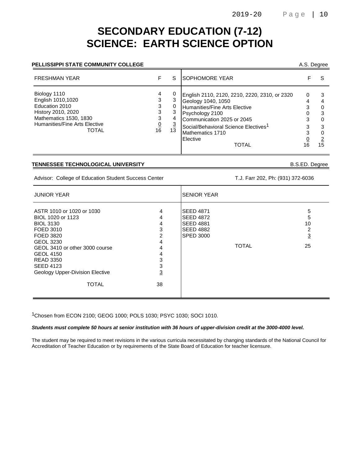# **SECONDARY EDUCATION (7-12) SCIENCE: EARTH SCIENCE OPTION**

### **PELLISSIPPI STATE COMMUNITY COLLEGE A.S. Degree** A.S. Degree

| <b>FRESHMAN YEAR</b>                                                                                                                          |                             | S                        | <b>ISOPHOMORE YEAR</b>                                                                                                                                                                                                                                    |   |    |
|-----------------------------------------------------------------------------------------------------------------------------------------------|-----------------------------|--------------------------|-----------------------------------------------------------------------------------------------------------------------------------------------------------------------------------------------------------------------------------------------------------|---|----|
| Biology 1110<br>English 1010,1020<br>Education 2010<br>History 2010, 2020<br>Mathematics 1530, 1830<br>Humanities/Fine Arts Elective<br>TOTAL | 4<br>3<br>3<br>3<br>3<br>16 | 0<br>4<br><u>3</u><br>13 | English 2110, 2120, 2210, 2220, 2310, or 2320<br>Geology 1040, 1050<br>Humanities/Fine Arts Elective<br>Psychology 2100<br>Communication 2025 or 2045<br>Social/Behavioral Science Electives <sup>1</sup><br>Mathematics 1710<br>Elective<br><b>TOTAL</b> | 0 | 15 |

#### **TENNESSEE TECHNOLOGICAL UNIVERSITY** B.S.ED. Degree

Advisor: College of Education Student Success Center T.J. Farr 202, Ph: (931) 372-6036

| <b>JUNIOR YEAR</b>                                                                                                                                                                                                                                                |                                                                        | <b>SENIOR YEAR</b>                                                                                               |                                           |  |
|-------------------------------------------------------------------------------------------------------------------------------------------------------------------------------------------------------------------------------------------------------------------|------------------------------------------------------------------------|------------------------------------------------------------------------------------------------------------------|-------------------------------------------|--|
| ASTR 1010 or 1020 or 1030<br>BIOL 1020 or 1123<br><b>BIOL 3130</b><br>FOED 3010<br>FOED 3820<br><b>GEOL 3230</b><br>GEOL 3410 or other 3000 course<br><b>GEOL 4150</b><br><b>READ 3350</b><br><b>SEED 4123</b><br>Geology Upper-Division Elective<br><b>TOTAL</b> | 4<br>4<br>4<br>3<br>2<br>4<br>4<br>4<br>3<br>3<br>$\overline{3}$<br>38 | <b>SEED 4871</b><br><b>SEED 4872</b><br><b>SEED 4881</b><br><b>SEED 4882</b><br><b>SPED 3000</b><br><b>TOTAL</b> | 5<br>5<br>10<br>2<br>$\overline{3}$<br>25 |  |

1Chosen from ECON 2100; GEOG 1000; POLS 1030; PSYC 1030; SOCI 1010.

**Students must complete 50 hours at senior institution with 36 hours of upper-division credit at the 3000-4000 level.**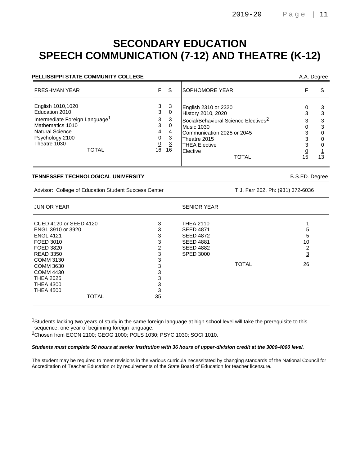# **SECONDARY EDUCATION SPEECH COMMUNICATION (7-12) AND THEATRE (K-12)**

| PELLISSIPPI STATE COMMUNITY COLLEGE                                                                                                                                         |                                                    |                                                           |                                                                                                                                                                                                                |    | A.A. Degree  |
|-----------------------------------------------------------------------------------------------------------------------------------------------------------------------------|----------------------------------------------------|-----------------------------------------------------------|----------------------------------------------------------------------------------------------------------------------------------------------------------------------------------------------------------------|----|--------------|
| <b>FRESHMAN YEAR</b>                                                                                                                                                        | F.                                                 | <sub>S</sub>                                              | <b>SOPHOMORE YEAR</b>                                                                                                                                                                                          |    | S            |
| English 1010,1020<br>Education 2010<br>Intermediate Foreign Language <sup>1</sup><br>Mathematics 1010<br>Natural Science<br>Psychology 2100<br>Theatre 1030<br><b>TOTAL</b> | 3<br>3<br>3<br>3<br>4<br>0<br>$\overline{0}$<br>16 | 3<br>0<br>3<br>$\Omega$<br>4<br>3<br>$\overline{3}$<br>16 | English 2310 or 2320<br>History 2010, 2020<br>Social/Behavioral Science Electives <sup>2</sup><br>Music 1030<br>Communication 2025 or 2045<br>Theatre 2015<br><b>THEA Elective</b><br>Elective<br><b>TOTAL</b> | 15 | 3<br>0<br>13 |

#### **TENNESSEE TECHNOLOGICAL UNIVERSITY** B.S.ED. Degree

Advisor: College of Education Student Success Center T.J. Farr 202, Ph: (931) 372-6036

| <b>JUNIOR YEAR</b>                                                                                                                                                                                                                             |                                                                       | <b>SENIOR YEAR</b>                                                                                                                   |                                     |  |
|------------------------------------------------------------------------------------------------------------------------------------------------------------------------------------------------------------------------------------------------|-----------------------------------------------------------------------|--------------------------------------------------------------------------------------------------------------------------------------|-------------------------------------|--|
| CUED 4120 or SEED 4120<br>ENGL 3910 or 3920<br><b>ENGL 4121</b><br>FOED 3010<br>FOED 3820<br><b>READ 3350</b><br>COMM 3130<br><b>COMM 3630</b><br><b>COMM 4430</b><br><b>THEA 2025</b><br><b>THEA 4300</b><br><b>THEA 4500</b><br><b>TOTAL</b> | 3<br>3<br>3<br>3<br>2<br>3<br>3<br>3<br>3<br>3<br>3<br>$\frac{3}{35}$ | <b>THEA 2110</b><br><b>SEED 4871</b><br><b>SEED 4872</b><br><b>SEED 4881</b><br><b>SEED 4882</b><br><b>SPED 3000</b><br><b>TOTAL</b> | 5<br>5<br>10<br>2<br><u>3</u><br>26 |  |

<sup>1</sup>Students lacking two years of study in the same foreign language at high school level will take the prerequisite to this sequence: one year of beginning foreign language.

2Chosen from ECON 2100; GEOG 1000; POLS 1030; PSYC 1030; SOCI 1010.

#### **Students must complete 50 hours at senior institution with 36 hours of upper-division credit at the 3000-4000 level.**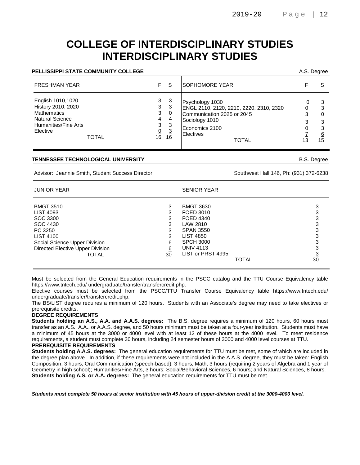### **COLLEGE OF INTERDISCIPLINARY STUDIES INTERDISCIPLINARY STUDIES**

#### **PELLISSIPPI STATE COMMUNITY COLLEGE** A.S. Degree

| <b>FRESHMAN YEAR</b>                                                                                                                        | F.                                      | S                                                 | <b>SOPHOMORE YEAR</b>                                                                                                                                     |   |                               |
|---------------------------------------------------------------------------------------------------------------------------------------------|-----------------------------------------|---------------------------------------------------|-----------------------------------------------------------------------------------------------------------------------------------------------------------|---|-------------------------------|
| English 1010,1020<br>History 2010, 2020<br><b>Mathematics</b><br><b>Natural Science</b><br>Humanities/Fine Arts<br>Elective<br><b>TOTAL</b> | 3<br>3<br>3<br>4<br>3<br>$\Omega$<br>16 | -3<br>-3<br>-0<br>4<br>-3<br>$\overline{3}$<br>16 | Psychology 1030<br>ENGL 2110, 2120, 2210, 2220, 2310, 2320<br>Communication 2025 or 2045<br>Sociology 1010<br>Economics 2100<br>Electives<br><b>TOTAL</b> | 0 | З<br>3<br>З<br><u>6</u><br>15 |

#### **TENNESSEE TECHNOLOGICAL UNIVERSITY** B.S. Degree

Advisor: Jeannie Smith, Student Success Director Success And The Southwest Hall 146, Ph: (931) 372-6238

| <b>JUNIOR YEAR</b>                                                                                                                                                 |                                            | <b>SENIOR YEAR</b>                                                                                                                                                 |                |  |  |
|--------------------------------------------------------------------------------------------------------------------------------------------------------------------|--------------------------------------------|--------------------------------------------------------------------------------------------------------------------------------------------------------------------|----------------|--|--|
| <b>BMGT 3510</b><br>LIST 4093<br>SOC 3300<br>SOC 4430<br>PC 3250<br><b>LIST 4100</b><br>Social Science Upper Division<br>Directed Elective Upper Division<br>TOTAL | 3<br>3<br>3<br>3<br>3<br>3<br>6<br>6<br>30 | <b>BMGT 3630</b><br><b>FOED 3010</b><br>FOED 4340<br>LAW 2810<br><b>SPAN 3550</b><br><b>LIST 4850</b><br><b>SPCH 3000</b><br><b>UNIV 4113</b><br>LIST or PRST 4995 |                |  |  |
|                                                                                                                                                                    |                                            | <b>TOTAL</b>                                                                                                                                                       | $\frac{3}{30}$ |  |  |

Must be selected from the General Education requirements in the PSCC catalog and the TTU Course Equivalency table https://www.tntech.edu/ undergraduate/transfer/transfercredit.php.

Elective courses must be selected from the PSCC/TTU Transfer Course Equivalency table https://www.tntech.edu/ undergraduate/transfer/transfercredit.php.

The BS/LIST degree requires a minimum of 120 hours. Students with an Associate's degree may need to take electives or prerequisite credits.

#### **DEGREE REQUIREMENTS**

**Students holding an A.S., A.A. and A.A.S. degrees:** The B.S. degree requires a minimum of 120 hours, 60 hours must transfer as an A.S., A.A., or A.A.S. degree, and 50 hours minimum must be taken at a four-year institution. Students must have a minimum of 45 hours at the 3000 or 4000 level with at least 12 of these hours at the 4000 level. To meet residence requirements, a student must complete 30 hours, including 24 semester hours of 3000 and 4000 level courses at TTU. **PREREQUISITE REQUIREMENTS**

**Students holding A.A.S. degrees:** The general education requirements for TTU must be met, some of which are included in the degree plan above. In addition, if these requirements were not included in the A.A.S. degree, they must be taken: English Composition, 3 hours; Oral Communication (speech-based), 3 hours; Math, 3 hours (requiring 2 years of Algebra and 1 year of Geometry in high school); Humanities/Fine Arts, 3 hours; Social/Behavioral Sciences, 6 hours; and Natural Sciences, 8 hours. **Students holding A.S. or A.A. degrees:** The general education requirements for TTU must be met.

**Students must complete 50 hours at senior institution with 45 hours of upper-division credit at the 3000-4000 level.**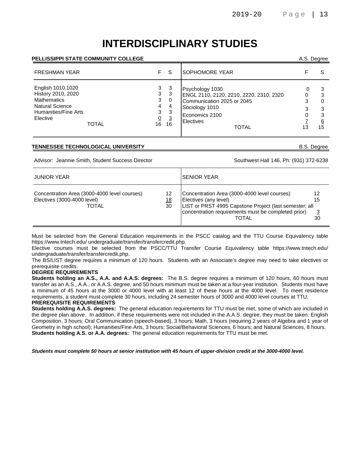# **INTERDISCIPLINARY STUDIES**

#### **PELLISSIPPI STATE COMMUNITY COLLEGE** A.S. Degree

| <b>FRESHMAN YEAR</b>                                                                                                                 | F.                                            | -S                                              | <b>ISOPHOMORE YEAR</b>                                                                                                                                    |                          |
|--------------------------------------------------------------------------------------------------------------------------------------|-----------------------------------------------|-------------------------------------------------|-----------------------------------------------------------------------------------------------------------------------------------------------------------|--------------------------|
| English 1010,1020<br>History 2010, 2020<br><b>Mathematics</b><br><b>Natural Science</b><br>Humanities/Fine Arts<br>Elective<br>TOTAL | 3<br>3<br>3<br>4<br>3<br>$\overline{0}$<br>16 | -3<br>3<br>0<br>4<br>-3<br>$\overline{3}$<br>16 | Psychology 1030<br>ENGL 2110, 2120, 2210, 2220, 2310, 2320<br>Communication 2025 or 2045<br>Sociology 1010<br>Economics 2100<br>Electives<br><b>TOTAL</b> | 3<br>3<br><u>6</u><br>15 |

#### **TENNESSEE TECHNOLOGICAL UNIVERSITY** B.S. Degree

Advisor: Jeannie Smith, Student Success Director Success And The Southwest Hall 146, Ph: (931) 372-6238

| <b>JUNIOR YEAR</b>                                                                   |                       | ISENIOR YEAR                                                                                                                                                                                    |                |
|--------------------------------------------------------------------------------------|-----------------------|-------------------------------------------------------------------------------------------------------------------------------------------------------------------------------------------------|----------------|
| Concentration Area (3000-4000 level courses)<br>Electives (3000-4000 level)<br>TOTAL | 12<br><u>18</u><br>30 | Concentration Area (3000-4000 level courses)<br>Electives (any level)<br>LIST or PRST 4995 Capstone Project (last semester; all<br>concentration requirements must be completed prior)<br>TOTAL | 12<br>15<br>30 |

Must be selected from the General Education requirements in the PSCC catalog and the TTU Course Equivalency table https://www.tntech.edu/ undergraduate/transfer/transfercredit.php.

Elective courses must be selected from the PSCC/TTU Transfer Course Equivalency table https://www.tntech.edu/ undergraduate/transfer/transfercredit.php.

The BS/LIST degree requires a minimum of 120 hours. Students with an Associate's degree may need to take electives or prerequisite credits.

#### **DEGREE REQUIREMENTS**

**Students holding an A.S., A.A. and A.A.S. degrees:** The B.S. degree requires a minimum of 120 hours, 60 hours must transfer as an A.S., A.A., or A.A.S. degree, and 50 hours minimum must be taken at a four-year institution. Students must have a minimum of 45 hours at the 3000 or 4000 level with at least 12 of these hours at the 4000 level. To meet residence requirements, a student must complete 30 hours, including 24 semester hours of 3000 and 4000 level courses at TTU.

#### **PREREQUISITE REQUIREMENTS**

**Students holding A.A.S. degrees:** The general education requirements for TTU must be met, some of which are included in the degree plan above. In addition, if these requirements were not included in the A.A.S. degree, they must be taken: English Composition, 3 hours; Oral Communication (speech-based), 3 hours; Math, 3 hours (requiring 2 years of Algebra and 1 year of Geometry in high school); Humanities/Fine Arts, 3 hours; Social/Behavioral Sciences, 6 hours; and Natural Sciences, 8 hours. **Students holding A.S. or A.A. degrees:** The general education requirements for TTU must be met.

**Students must complete 50 hours at senior institution with 45 hours of upper-division credit at the 3000-4000 level.**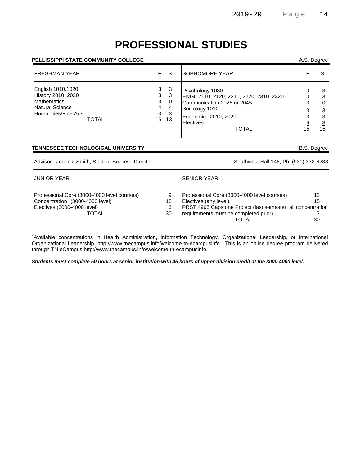# **PROFESSIONAL STUDIES**

#### **PELLISSIPPI STATE COMMUNITY COLLEGE** A.S. Degree

| <b>FRESHMAN YEAR</b>                                                                                            | F.                               | <sub>S</sub>                                                                              | <b>SOPHOMORE YEAR</b>                                                                                                                                                  |                   |
|-----------------------------------------------------------------------------------------------------------------|----------------------------------|-------------------------------------------------------------------------------------------|------------------------------------------------------------------------------------------------------------------------------------------------------------------------|-------------------|
| English 1010,1020<br>History 2010, 2020<br><b>Mathematics</b><br><b>Natural Science</b><br>Humanities/Fine Arts | 3<br>3<br>3<br>4<br><b>TOTAL</b> | 3<br>3<br>$\mathbf 0$<br>4<br>$\begin{array}{cc} \frac{3}{16} & \frac{3}{13} \end{array}$ | Psychology 1030<br>ENGL 2110, 2120, 2210, 2220, 2310, 2320<br>Communication 2025 or 2045<br>Sociology 1010<br>Economics 2010, 2020<br><b>Electives</b><br><b>TOTAL</b> | 3<br>3<br>ົ<br>15 |

#### **TENNESSEE TECHNOLOGICAL UNIVERSITY B.S. Degree**

Advisor: Jeannie Smith, Student Success Director Southwest Hall 146, Ph: (931) 372-6238

| <b>JUNIOR YEAR</b>                                                                                                                         |                           | ISENIOR YEAR                                                                                                                                                                                         |                |
|--------------------------------------------------------------------------------------------------------------------------------------------|---------------------------|------------------------------------------------------------------------------------------------------------------------------------------------------------------------------------------------------|----------------|
| Professional Core (3000-4000 level courses)<br>Concentration <sup>1</sup> (3000-4000 level)<br>Electives (3000-4000 level)<br><b>TOTAL</b> | 9<br>15<br><u>6</u><br>30 | Professional Core (3000-4000 level courses)<br>Electives (any level)<br><b>PRST 4995 Capstone Project (last semester; all concentration</b><br>requirements must be completed prior)<br><b>TOTAL</b> | 12<br>15<br>30 |

<sup>1</sup>Available concentrations in Health Administration, Information Technology, Organizational Leadership, or International Organizational Leadership, http://www.tnecampus.info/welcome-tn-ecampusinfo. This is an online degree program delivered through TN eCampus http://www.tnecampus.info/welcome-tn-ecampusinfo.

**Students must complete 50 hours at senior institution with 45 hours of upper-division credit at the 3000-4000 level.**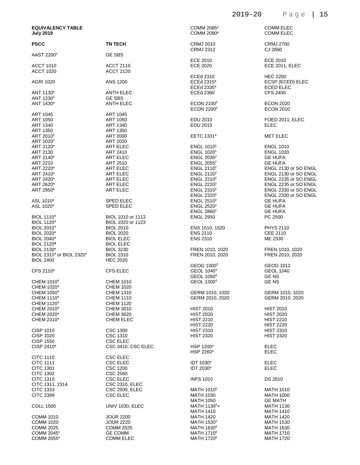| <b>EQUIVALENCY TABLE</b><br><b>July 2019</b>     |                        | COMM 2085*<br>COMM 2090*                    | <b>COMM ELEC</b><br><b>COMM ELEC</b>                    |
|--------------------------------------------------|------------------------|---------------------------------------------|---------------------------------------------------------|
| <b>PSCC</b>                                      | <b>TN TECH</b>         | <b>CRMJ 2010</b><br>CRMJ 2312               | <b>CRMJ 2700</b><br>CJ 2660                             |
| AAST 2200 <sup>3</sup>                           | <b>GE SBS</b>          | <b>ECE 2010</b>                             | ECE 2010                                                |
| <b>ACCT 1010</b>                                 | ACCT 2110              | ECE 2020                                    | ECE 2011, ELEC                                          |
| <b>ACCT 1020</b>                                 | <b>ACCT 2120</b>       |                                             |                                                         |
|                                                  |                        |                                             |                                                         |
| <b>AGRI 1020</b>                                 | ANS 1200               | ECEd 2310<br>ECEd 2315*<br>ECEd 2335*       | <b>HEC 2200</b><br>ECSP (ECED) ELEC<br><b>ECED ELEC</b> |
| ANT 1130*                                        | ANTH ELEC              | <b>ECEd 2360</b>                            | <b>CFS 2400</b>                                         |
| ANT 1230 <sup>3</sup>                            | <b>GE SBS</b>          |                                             |                                                         |
| ANT 1430*                                        | <b>ANTH ELEC</b>       | ECON 2100 <sup>3</sup><br><b>ECON 22003</b> | <b>ECON 2020</b><br><b>ECON 2010</b>                    |
| ART 1045                                         | <b>ART 1045</b>        |                                             |                                                         |
| ART 1050                                         | ART 1050               | EDU 2010                                    | FOED 2011, ELEC                                         |
| ART 1340                                         | ART 1340               | EDU 2015                                    | <b>ELEC</b>                                             |
| ART 1350                                         | ART 1350               |                                             |                                                         |
| ART 2010 <sup>2</sup>                            | ART 2000               | EETC 1331*                                  | <b>MET ELEC</b>                                         |
| ART 2020 <sup>2</sup>                            | ART 2020               |                                             |                                                         |
| ART 2120*                                        | ART ELEC               | ENGL $10101$                                | <b>ENGL 1010</b>                                        |
| ART 2130                                         | ART 2410               | ENGL 1020 <sup>1</sup>                      | <b>ENGL 1020</b>                                        |
| ART 2140*                                        | <b>ART ELEC</b>        | ENGL 2035 <sup>2</sup>                      | <b>GE HUFA</b>                                          |
|                                                  |                        |                                             |                                                         |
| ART 2210                                         | ART 2510               | ENGL $2055^2$                               | <b>GE HUFA</b>                                          |
| ART 2220*                                        | ART ELEC               | ENGL 2110 $2$                               | ENGL 2130 or SO ENGL                                    |
| ART 2410*                                        | ART ELEC               | ENGL 2120 <sup>2</sup>                      | ENGL 2130 or SO ENGL                                    |
| ART 2420*                                        | ART ELEC               | ENGL $2210^2$                               | ENGL 2235 or SO ENGL                                    |
| ART 2620*                                        | <b>ART ELEC</b>        | ENGL 2220 <sup>2</sup>                      | ENGL 2235 or SO ENGL                                    |
| ART 2950*                                        | <b>ART ELEC</b>        | ENGL 2310 <sup>2</sup>                      | ENGL 2330 or SO ENGL                                    |
|                                                  |                        | ENGL 2320 <sup>2</sup>                      | ENGL 2330 or SO ENGL                                    |
| ASL 1010*                                        | <b>SPED ELEC</b>       | ENGL $2510^2$                               | <b>GE HUFA</b>                                          |
| ASL 1020*                                        | <b>SPED ELEC</b>       | ENGL $2520^2$                               | <b>GE HUFA</b>                                          |
|                                                  |                        | ENGL 2860 <sup>2</sup>                      | <b>GE HUFA</b>                                          |
| <b>BIOL 1110<sup>4</sup></b>                     | BIOL 1010 or 1113      | <b>ENGL 2950</b>                            | PC 2500                                                 |
| <b>BIOL 1120<sup>4</sup></b>                     | BIOL 1020 or 1123      |                                             |                                                         |
| BIOL 2010 <sup>4</sup>                           | <b>BIOL 2010</b>       | ENS 1510, 1520                              | <b>PHYS 2110</b>                                        |
| <b>BIOL 2020<sup>4</sup></b>                     | <b>BIOL 2020</b>       | <b>ENS 2110</b>                             | <b>CEE 2110</b>                                         |
| <b>BIOL 2040*</b>                                | <b>BIOL ELEC</b>       | <b>ENS 2310</b>                             | ME 2330                                                 |
| BIOL 2120*                                       | <b>BIOL ELEC</b>       |                                             |                                                         |
| BIOL 2130*                                       |                        | FREN 1010, 1020                             | FREN 1010, 1020                                         |
|                                                  | <b>BIOL 3230</b>       |                                             |                                                         |
| BIOL 2310 <sup>4</sup> or BIOL 2320 <sup>4</sup> | <b>BIOL 2310</b>       | FREN 2010, 2020                             | FREN 2010, 2020                                         |
| <b>BIOL 2400</b>                                 | <b>HEC 2020</b>        |                                             |                                                         |
|                                                  |                        | GEOG 1000 <sup>3</sup>                      | GEOG 1012                                               |
| CFS 2110*                                        | <b>CFS ELEC</b>        | GEOL 1040 <sup>4</sup>                      | <b>GEOL 1040</b>                                        |
|                                                  |                        | GEOL 1050 <sup>4</sup>                      | <b>GENS</b>                                             |
| CHEM 1010 <sup>4</sup>                           | <b>CHEM 1010</b>       | GEOL 1300 <sup>4</sup>                      | <b>GENS</b>                                             |
| CHEM 1020 <sup>4</sup>                           | <b>CHEM 1020</b>       |                                             |                                                         |
| CHEM 1050 <sup>4</sup>                           | <b>CHEM 1310</b>       | GERM 1010, 1020                             | GERM 1010, 1020                                         |
| CHEM 1110 <sup>4</sup>                           | <b>CHEM 1110</b>       | GERM 2010, 2020                             | GERM 2010, 2020                                         |
| CHEM 1120 <sup>4</sup>                           | <b>CHEM 1120</b>       |                                             |                                                         |
| CHEM 2010*                                       | CHEM 3010              | <b>HIST 2010</b>                            | <b>HIST 2010</b>                                        |
| CHEM 2020*                                       | <b>CHEM 3020</b>       | <b>HIST 2020</b>                            | <b>HIST 2020</b>                                        |
| CHEM 2310*                                       | <b>CHEM ELEC</b>       | <b>HIST 2210</b>                            | <b>HIST 2210</b>                                        |
|                                                  |                        | <b>HIST 2220</b>                            | <b>HIST 2220</b>                                        |
| <b>CISP 1010</b>                                 | <b>CSC 1300</b>        | <b>HIST 2310</b>                            | <b>HIST 2310</b>                                        |
| <b>CISP 1020</b>                                 | CSC 1310               | <b>HIST 2320</b>                            | <b>HIST 2320</b>                                        |
| <b>CISP 1550</b>                                 | <b>CSC ELEC</b>        |                                             |                                                         |
| CISP 2410*                                       | CSC 3410, CSC ELEC     | HSP 1200*                                   | ELEC                                                    |
|                                                  |                        | HSP 2260*                                   | ELEC                                                    |
| <b>CITC 1110</b>                                 | <b>CSC ELEC</b>        |                                             |                                                         |
| <b>CITC 1111</b>                                 | <b>CSC ELEC</b>        | <b>IDT 1030*</b>                            | <b>ELEC</b>                                             |
| <b>CITC 1301</b>                                 | <b>CSC 1200</b>        | IDT 2030*                                   | <b>ELEC</b>                                             |
| <b>CITC 1302</b>                                 | <b>CSC 2560</b>        |                                             |                                                         |
| <b>CITC 1310</b>                                 | <b>CSC ELEC</b>        | <b>INFS 1010</b>                            | DS 2810                                                 |
| CITC 1311, 2314                                  | CSC 2310, ELEC         |                                             |                                                         |
| CITC 1333                                        | CSC 2500, ELEC         | MATH 1010 <sup>5</sup>                      | <b>MATH 1010</b>                                        |
| <b>CITC 2399</b>                                 | <b>CSC ELEC</b>        | <b>MATH 1030</b>                            | <b>MATH 1000</b>                                        |
|                                                  |                        | MATH 1050                                   | <b>GE MATH</b>                                          |
| <b>COLL 1500</b>                                 | <b>UNIV 1030, ELEC</b> | MATH 1130 <sup>5</sup> +                    | <b>MATH 1130</b>                                        |
|                                                  |                        | <b>MATH 1410</b>                            | <b>MATH 1410</b>                                        |

MATH 1420 MATH 1420

MATH 1530

MATH 1630

MATH 1720

MATH 1710

MATH 1530<sup>5</sup>

MATH 1630<sup>5</sup>

MATH 1710<sup>5</sup>

MATH 1720<sup>5</sup>

COMM 1010 JOUR 2200<br>COMM 1020 JOUR 2220 COMM 1020<br>
COMM 2025<br>
COMM 2025 COMM 2045<sup>1</sup><br>COMM 2055\*

COMM 2025

 GE COMM COMM ELEC 2019-20 Page | 15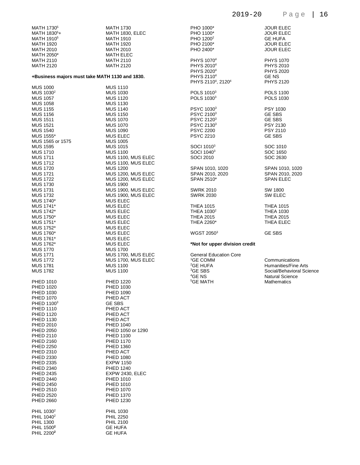| MATH 1730 <sup>5</sup>                                             | <b>MATH 1730</b>   |
|--------------------------------------------------------------------|--------------------|
| MATH 1830 <sup>5</sup> +                                           | MATH 1830, ELEC    |
| MATH 1910 <sup>5</sup>                                             | <b>MATH 1910</b>   |
| <b>MATH 1920</b>                                                   | <b>MATH 1920</b>   |
| <b>MATH 2010</b>                                                   | <b>MATH 2010</b>   |
| MATH 2050*                                                         | <b>MATH ELEC</b>   |
| <b>MATH 2110</b>                                                   | <b>MATH 2110</b>   |
| <b>MATH 2120</b><br>+Business majors must take MATH 1130 and 1830. | <b>MATH 2120</b>   |
| <b>MUS 1000</b>                                                    | <b>MUS 1110</b>    |
| MUS 1030 <sup>2</sup>                                              | <b>MUS 1030</b>    |
| <b>MUS 1057</b>                                                    | <b>MUS 1120</b>    |
| <b>MUS 1058</b>                                                    | <b>MUS 1130</b>    |
| <b>MUS 1155</b>                                                    | <b>MUS 1140</b>    |
| <b>MUS 1156</b>                                                    | <b>MUS 1150</b>    |
| <b>MUS 1511</b>                                                    | <b>MUS 1070</b>    |
| <b>MUS 1521</b>                                                    | <b>MUS 1070</b>    |
| <b>MUS 1540</b>                                                    | <b>MUS 1090</b>    |
| MUS 1555*                                                          | <b>MUS ELEC</b>    |
| MUS 1565 or 1575                                                   | <b>MUS 1005</b>    |
| <b>MUS 1595</b>                                                    | <b>MUS 1015</b>    |
| <b>MUS 1710</b>                                                    | <b>MUS 1100</b>    |
| <b>MUS 1711</b>                                                    | MUS 1100, MUS ELEC |
| <b>MUS 1712</b>                                                    | MUS 1100, MUS ELEC |
| <b>MUS 1720</b>                                                    | <b>MUS 1200</b>    |
| <b>MUS 1721</b>                                                    | MUS 1200, MUS ELEC |
| <b>MUS 1722</b>                                                    | MUS 1200, MUS ELEC |
| <b>MUS 1730</b>                                                    | <b>MUS 1900</b>    |
| <b>MUS 1731</b>                                                    | MUS 1900, MUS ELEC |
| <b>MUS 1732</b>                                                    | MUS 1900, MUS ELEC |
| MUS 1740*                                                          | <b>MUS ELEC</b>    |
| MUS 1741*                                                          | <b>MUS ELEC</b>    |
| MUS 1742*                                                          | <b>MUS ELEC</b>    |
| MUS 1750*                                                          | <b>MUS ELEC</b>    |
| MUS 1751*                                                          | <b>MUS ELEC</b>    |
| MUS 1752*                                                          | <b>MUS ELEC</b>    |
| MUS 1760*                                                          | <b>MUS ELEC</b>    |
| MUS 1761*                                                          | <b>MUS ELEC</b>    |
| MUS 1762*                                                          | <b>MUS ELEC</b>    |
| <b>MUS 1770</b>                                                    | <b>MUS 1700</b>    |
| <b>MUS 1771</b>                                                    | MUS 1700, MUS ELEC |
| <b>MUS 1772</b>                                                    | MUS 1700. MUS ELEC |
| <b>MUS 1781</b>                                                    | <b>MUS 1100</b>    |
| <b>MUS 1782</b>                                                    | <b>MUS 1100</b>    |
| <b>PHED 1010</b>                                                   | <b>PHED 1220</b>   |
| <b>PHED 1020</b>                                                   | PHED 1030          |
| <b>PHED 1030</b>                                                   | PHED 1090          |
| <b>PHED 1070</b>                                                   | PHED ACT           |
| PHED 1100 <sup>3</sup>                                             | <b>GE SBS</b>      |
| <b>PHED 1110</b>                                                   | PHED ACT           |
| <b>PHED 1120</b>                                                   | PHED ACT           |
| PHED 1130                                                          | PHED ACT           |
| PHED 2010                                                          | <b>PHED 1040</b>   |
| <b>PHED 2050</b>                                                   | PHED 1050 or 1290  |
| <b>PHED 2110</b>                                                   | <b>PHED 1100</b>   |
| <b>PHED 2160</b>                                                   | <b>PHED 1170</b>   |
| <b>PHED 2250</b>                                                   | PHED 1360          |
| PHED 2310                                                          | PHED ACT           |
| PHED 2330                                                          | PHED 1080          |
| PHED 2335                                                          | <b>EXPW 1150</b>   |
| <b>PHED 2340</b>                                                   | <b>PHED 1240</b>   |
| <b>PHED 2435</b>                                                   | EXPW 2430, ELEC    |
| <b>PHED 2440</b>                                                   | <b>PHED 1010</b>   |
| <b>PHED 2450</b>                                                   | <b>PHED 1010</b>   |
| <b>PHED 2510</b>                                                   | <b>PHED 1070</b>   |
| <b>PHED 2520</b>                                                   | <b>PHED 1370</b>   |
| <b>PHED 2660</b>                                                   | PHED 1230          |
| PHIL 1030 <sup>2</sup>                                             | PHIL 1030          |
| PHIL 1040 <sup>2</sup>                                             | <b>PHIL 2250</b>   |
| <b>PHIL 1300</b>                                                   | <b>PHIL 2100</b>   |
| PHIL 1500 <sup>2</sup>                                             | <b>GE HUFA</b>     |
| PHIL 2200 <sup>2</sup>                                             | <b>GE HUFA</b>     |

|                                                                                                                                                    |  | $  -$                                                                                                                      | -1 |
|----------------------------------------------------------------------------------------------------------------------------------------------------|--|----------------------------------------------------------------------------------------------------------------------------|----|
| PHO 1000*<br>PHO 1100*<br>PHO 1200 <sup>2</sup><br>PHO 2100*<br>PHO 2400*                                                                          |  | <b>JOUR ELEC</b><br><b>JOUR ELEC</b><br><b>GE HUFA</b><br><b>JOUR ELEC</b><br><b>JOUR ELEC</b>                             |    |
| PHYS 1070 <sup>4</sup><br>PHYS 2010 <sup>4</sup><br>PHYS 2020 <sup>4</sup><br>PHYS 2110 <sup>4</sup><br>PHYS 2110 <sup>4</sup> , 2120 <sup>4</sup> |  | <b>PHYS 1070</b><br><b>PHYS 2010</b><br><b>PHYS 2020</b><br><b>GENS</b><br><b>PHYS 2120</b>                                |    |
| POLS 1010 <sup>3</sup><br>POLS 1030 <sup>3</sup>                                                                                                   |  | <b>POLS 1100</b><br><b>POLS 1030</b>                                                                                       |    |
| PSYC 10303<br>PSYC 21003<br>PSYC 2120 <sup>3</sup><br>PSYC 2130 <sup>3</sup><br><b>PSYC 2200</b><br><b>PSYC 2210</b>                               |  | PSY 1030<br><b>GE SBS</b><br><b>GE SBS</b><br><b>PSY 2130</b><br><b>PSY 2110</b><br><b>GE SBS</b>                          |    |
| SOCI 1010 <sup>3</sup><br>SOCI 10403<br><b>SOCI 2010</b>                                                                                           |  | SOC 1010<br>SOC 1650<br>SOC 2630                                                                                           |    |
| SPAN 1010, 1020<br>SPAN 2010, 2020<br>SPAN 2510*                                                                                                   |  | SPAN 1010, 1020<br>SPAN 2010, 2020<br><b>SPAN ELEC</b>                                                                     |    |
| <b>SWRK 2010</b><br><b>SWRK 2030</b>                                                                                                               |  | SW 1800<br><b>SW ELEC</b>                                                                                                  |    |
| <b>THEA 1015</b><br>THEA 1030 <sup>2</sup><br><b>THEA 2015</b><br>THEA 2260*                                                                       |  | <b>THEA 1015</b><br><b>THEA 1030</b><br><b>THEA 2015</b><br>THEA ELEC                                                      |    |
| WGST 2050 <sup>3</sup>                                                                                                                             |  | <b>GE SBS</b>                                                                                                              |    |
| *Not for upper division credit                                                                                                                     |  |                                                                                                                            |    |
| <b>General Education Core</b><br><sup>1</sup> GE COMM<br><sup>2</sup> GE HUFA<br><sup>3</sup> GE SBS<br><sup>4</sup> GE NS<br><sup>5</sup> GE MATH |  | Communications<br><b>Humanities/Fine Arts</b><br>Social/Behavioral Science<br><b>Natural Science</b><br><b>Mathematics</b> |    |
|                                                                                                                                                    |  |                                                                                                                            |    |

2019-20 Page | 16